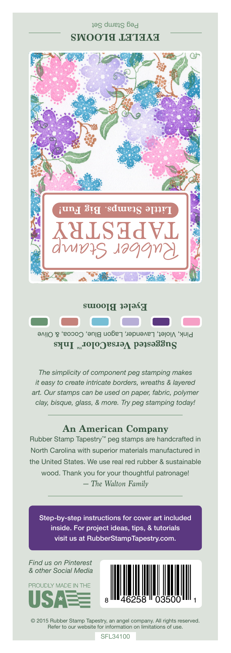

Peg Stamp Set

Pink, Violet, Lavender, Lagon Blue, Cocoa, & Olive **Suggested VersaColor** Inks

*The simplicity of component peg stamping makes it easy to create intricate borders, wreaths & layered art. Our stamps can be used on paper, fabric, polymer clay, bisque, glass, & more. Try peg stamping today!*

## **An American Company**

*— The Walton Family* Rubber Stamp Tapestry™ peg stamps are handcrafted in North Carolina with superior materials manufactured in the United States. We use real red rubber & sustainable wood. Thank you for your thoughtful patronage!

Step-by-step instructions for cover art included inside. For project ideas, tips, & tutorials visit us at RubberStampTapestry.com.

*Find us on Pinterest & other Social Media*





© 2015 Rubber Stamp Tapestry, an angel company. All rights reserved. Refer to our website for information on limitations of use.